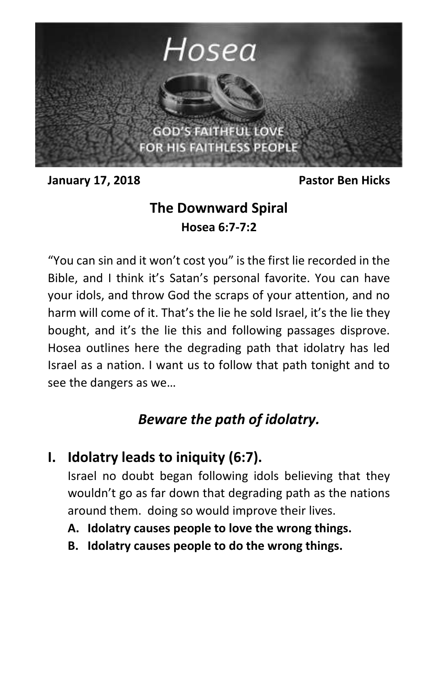

**January 17, 2018 Pastor Ben Hicks**

## **The Downward Spiral Hosea 6:7-7:2**

"You can sin and it won't cost you" is the first lie recorded in the Bible, and I think it's Satan's personal favorite. You can have your idols, and throw God the scraps of your attention, and no harm will come of it. That's the lie he sold Israel, it's the lie they bought, and it's the lie this and following passages disprove. Hosea outlines here the degrading path that idolatry has led Israel as a nation. I want us to follow that path tonight and to see the dangers as we…

## *Beware the path of idolatry.*

**I. Idolatry leads to iniquity (6:7).**

Israel no doubt began following idols believing that they wouldn't go as far down that degrading path as the nations around them. doing so would improve their lives.

- **A. Idolatry causes people to love the wrong things.**
- **B. Idolatry causes people to do the wrong things.**